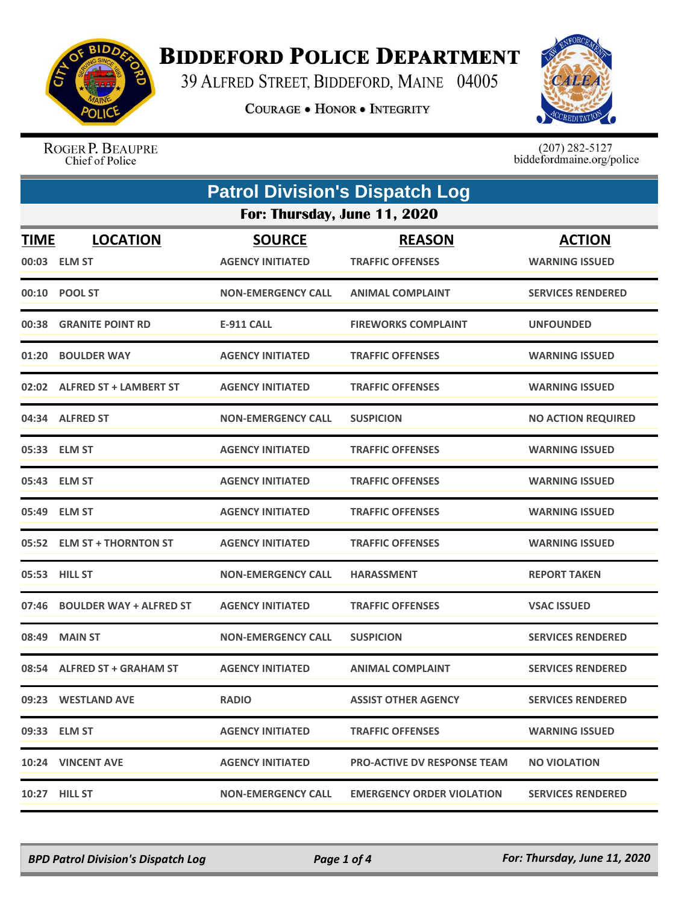

## **BIDDEFORD POLICE DEPARTMENT**

39 ALFRED STREET, BIDDEFORD, MAINE 04005

**COURAGE . HONOR . INTEGRITY** 



ROGER P. BEAUPRE Chief of Police

 $(207)$  282-5127<br>biddefordmaine.org/police

| <b>Patrol Division's Dispatch Log</b> |                                  |                                          |                                          |                                        |  |
|---------------------------------------|----------------------------------|------------------------------------------|------------------------------------------|----------------------------------------|--|
|                                       | For: Thursday, June 11, 2020     |                                          |                                          |                                        |  |
| <b>TIME</b><br>00:03                  | <b>LOCATION</b><br><b>ELM ST</b> | <b>SOURCE</b><br><b>AGENCY INITIATED</b> | <b>REASON</b><br><b>TRAFFIC OFFENSES</b> | <b>ACTION</b><br><b>WARNING ISSUED</b> |  |
|                                       | 00:10 POOL ST                    | <b>NON-EMERGENCY CALL</b>                | <b>ANIMAL COMPLAINT</b>                  | <b>SERVICES RENDERED</b>               |  |
| 00:38                                 | <b>GRANITE POINT RD</b>          | <b>E-911 CALL</b>                        | <b>FIREWORKS COMPLAINT</b>               | <b>UNFOUNDED</b>                       |  |
| 01:20                                 | <b>BOULDER WAY</b>               | <b>AGENCY INITIATED</b>                  | <b>TRAFFIC OFFENSES</b>                  | <b>WARNING ISSUED</b>                  |  |
|                                       | 02:02 ALFRED ST + LAMBERT ST     | <b>AGENCY INITIATED</b>                  | <b>TRAFFIC OFFENSES</b>                  | <b>WARNING ISSUED</b>                  |  |
|                                       | 04:34 ALFRED ST                  | <b>NON-EMERGENCY CALL</b>                | <b>SUSPICION</b>                         | <b>NO ACTION REQUIRED</b>              |  |
|                                       | 05:33 ELM ST                     | <b>AGENCY INITIATED</b>                  | <b>TRAFFIC OFFENSES</b>                  | <b>WARNING ISSUED</b>                  |  |
| 05:43                                 | <b>ELM ST</b>                    | <b>AGENCY INITIATED</b>                  | <b>TRAFFIC OFFENSES</b>                  | <b>WARNING ISSUED</b>                  |  |
|                                       | 05:49 ELM ST                     | <b>AGENCY INITIATED</b>                  | <b>TRAFFIC OFFENSES</b>                  | <b>WARNING ISSUED</b>                  |  |
|                                       | 05:52 ELM ST + THORNTON ST       | <b>AGENCY INITIATED</b>                  | <b>TRAFFIC OFFENSES</b>                  | <b>WARNING ISSUED</b>                  |  |
| 05:53                                 | <b>HILL ST</b>                   | <b>NON-EMERGENCY CALL</b>                | <b>HARASSMENT</b>                        | <b>REPORT TAKEN</b>                    |  |
| 07:46                                 | <b>BOULDER WAY + ALFRED ST</b>   | <b>AGENCY INITIATED</b>                  | <b>TRAFFIC OFFENSES</b>                  | <b>VSAC ISSUED</b>                     |  |
| 08:49                                 | <b>MAIN ST</b>                   | <b>NON-EMERGENCY CALL</b>                | <b>SUSPICION</b>                         | <b>SERVICES RENDERED</b>               |  |
|                                       | 08:54 ALFRED ST + GRAHAM ST      | <b>AGENCY INITIATED</b>                  | <b>ANIMAL COMPLAINT</b>                  | <b>SERVICES RENDERED</b>               |  |
|                                       | 09:23 WESTLAND AVE               | <b>RADIO</b>                             | <b>ASSIST OTHER AGENCY</b>               | <b>SERVICES RENDERED</b>               |  |
|                                       | 09:33 ELM ST                     | <b>AGENCY INITIATED</b>                  | <b>TRAFFIC OFFENSES</b>                  | <b>WARNING ISSUED</b>                  |  |
|                                       | 10:24 VINCENT AVE                | <b>AGENCY INITIATED</b>                  | <b>PRO-ACTIVE DV RESPONSE TEAM</b>       | <b>NO VIOLATION</b>                    |  |
|                                       | 10:27 HILL ST                    | <b>NON-EMERGENCY CALL</b>                | <b>EMERGENCY ORDER VIOLATION</b>         | <b>SERVICES RENDERED</b>               |  |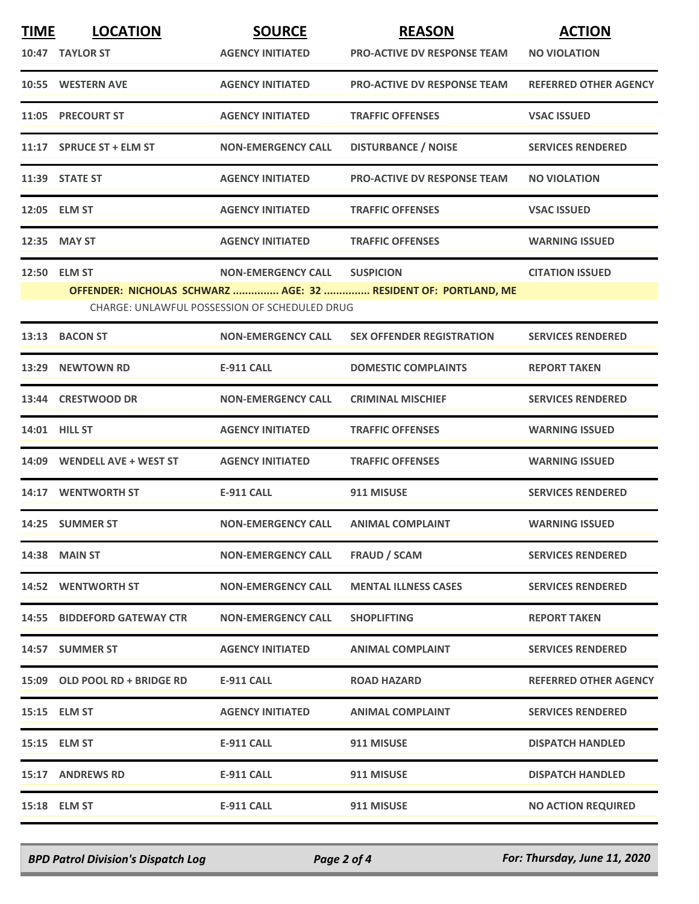| <b>TIME</b> | <b>LOCATION</b>                                      | <b>SOURCE</b>             | <b>REASON</b>                                                  | <b>ACTION</b>                |  |  |
|-------------|------------------------------------------------------|---------------------------|----------------------------------------------------------------|------------------------------|--|--|
|             | 10:47 TAYLOR ST                                      | <b>AGENCY INITIATED</b>   | <b>PRO-ACTIVE DV RESPONSE TEAM</b>                             | <b>NO VIOLATION</b>          |  |  |
|             | 10:55 WESTERN AVE                                    | <b>AGENCY INITIATED</b>   | <b>PRO-ACTIVE DV RESPONSE TEAM</b>                             | <b>REFERRED OTHER AGENCY</b> |  |  |
|             | 11:05 PRECOURT ST                                    | <b>AGENCY INITIATED</b>   | <b>TRAFFIC OFFENSES</b>                                        | <b>VSAC ISSUED</b>           |  |  |
|             | 11:17 SPRUCE ST + ELM ST                             | <b>NON-EMERGENCY CALL</b> | <b>DISTURBANCE / NOISE</b>                                     | <b>SERVICES RENDERED</b>     |  |  |
|             | 11:39 STATE ST                                       | <b>AGENCY INITIATED</b>   | <b>PRO-ACTIVE DV RESPONSE TEAM</b>                             | <b>NO VIOLATION</b>          |  |  |
|             | 12:05 ELM ST                                         | <b>AGENCY INITIATED</b>   | <b>TRAFFIC OFFENSES</b>                                        | <b>VSAC ISSUED</b>           |  |  |
|             | 12:35 MAY ST                                         | <b>AGENCY INITIATED</b>   | <b>TRAFFIC OFFENSES</b>                                        | <b>WARNING ISSUED</b>        |  |  |
|             | 12:50 ELM ST                                         | <b>NON-EMERGENCY CALL</b> | <b>SUSPICION</b>                                               | <b>CITATION ISSUED</b>       |  |  |
|             |                                                      |                           | OFFENDER: NICHOLAS SCHWARZ  AGE: 32  RESIDENT OF: PORTLAND, ME |                              |  |  |
|             | <b>CHARGE: UNLAWFUL POSSESSION OF SCHEDULED DRUG</b> |                           |                                                                |                              |  |  |
| 13:13       | <b>BACON ST</b>                                      | <b>NON-EMERGENCY CALL</b> | <b>SEX OFFENDER REGISTRATION</b>                               | <b>SERVICES RENDERED</b>     |  |  |
| 13:29       | <b>NEWTOWN RD</b>                                    | <b>E-911 CALL</b>         | <b>DOMESTIC COMPLAINTS</b>                                     | <b>REPORT TAKEN</b>          |  |  |
|             | 13:44 CRESTWOOD DR                                   | <b>NON-EMERGENCY CALL</b> | <b>CRIMINAL MISCHIEF</b>                                       | <b>SERVICES RENDERED</b>     |  |  |
|             | 14:01 HILL ST                                        | <b>AGENCY INITIATED</b>   | <b>TRAFFIC OFFENSES</b>                                        | <b>WARNING ISSUED</b>        |  |  |
|             | 14:09 WENDELL AVE + WEST ST                          | <b>AGENCY INITIATED</b>   | <b>TRAFFIC OFFENSES</b>                                        | <b>WARNING ISSUED</b>        |  |  |
|             | 14:17 WENTWORTH ST                                   | <b>E-911 CALL</b>         | 911 MISUSE                                                     | <b>SERVICES RENDERED</b>     |  |  |
|             | 14:25 SUMMER ST                                      | <b>NON-EMERGENCY CALL</b> | <b>ANIMAL COMPLAINT</b>                                        | <b>WARNING ISSUED</b>        |  |  |
|             | <b>14:38 MAIN ST</b>                                 | <b>NON-EMERGENCY CALL</b> | FRAUD / SCAM                                                   | <b>SERVICES RENDERED</b>     |  |  |
|             | <b>14:52 WENTWORTH ST</b>                            | <b>NON-EMERGENCY CALL</b> | <b>MENTAL ILLNESS CASES</b>                                    | <b>SERVICES RENDERED</b>     |  |  |
|             | <b>14:55 BIDDEFORD GATEWAY CTR</b>                   | <b>NON-EMERGENCY CALL</b> | <b>SHOPLIFTING</b>                                             | <b>REPORT TAKEN</b>          |  |  |
|             | 14:57 SUMMER ST                                      | <b>AGENCY INITIATED</b>   | <b>ANIMAL COMPLAINT</b>                                        | <b>SERVICES RENDERED</b>     |  |  |
|             | 15:09 OLD POOL RD + BRIDGE RD                        | <b>E-911 CALL</b>         | <b>ROAD HAZARD</b>                                             | <b>REFERRED OTHER AGENCY</b> |  |  |
|             | 15:15 ELM ST                                         | <b>AGENCY INITIATED</b>   | <b>ANIMAL COMPLAINT</b>                                        | <b>SERVICES RENDERED</b>     |  |  |
|             | 15:15 ELM ST                                         | <b>E-911 CALL</b>         | 911 MISUSE                                                     | <b>DISPATCH HANDLED</b>      |  |  |
|             | 15:17 ANDREWS RD                                     | <b>E-911 CALL</b>         | 911 MISUSE                                                     | <b>DISPATCH HANDLED</b>      |  |  |
|             | 15:18 ELM ST                                         | E-911 CALL                | 911 MISUSE                                                     | <b>NO ACTION REQUIRED</b>    |  |  |
|             |                                                      |                           |                                                                |                              |  |  |

*BPD Patrol Division's Dispatch Log Page 2 of 4 For: Thursday, June 11, 2020*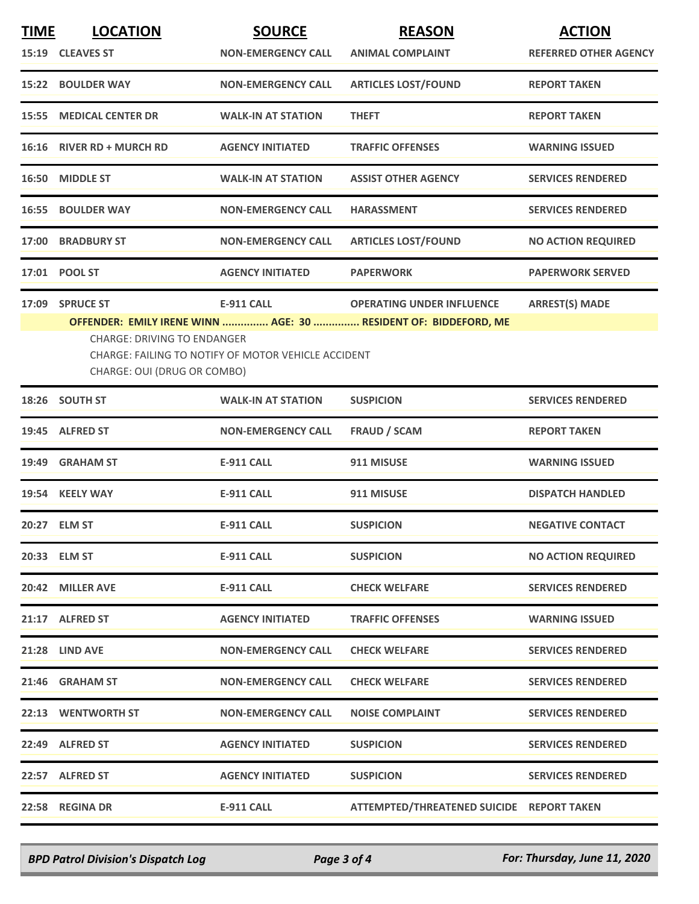| <b>TIME</b> | <b>LOCATION</b><br>15:19 CLEAVES ST                                                                                                                                                                                                                                                               | <b>SOURCE</b><br><b>NON-EMERGENCY CALL</b> | <b>REASON</b><br><b>ANIMAL COMPLAINT</b>  | <b>ACTION</b><br><b>REFERRED OTHER AGENCY</b> |
|-------------|---------------------------------------------------------------------------------------------------------------------------------------------------------------------------------------------------------------------------------------------------------------------------------------------------|--------------------------------------------|-------------------------------------------|-----------------------------------------------|
|             | 15:22 BOULDER WAY                                                                                                                                                                                                                                                                                 | <b>NON-EMERGENCY CALL</b>                  | <b>ARTICLES LOST/FOUND</b>                | <b>REPORT TAKEN</b>                           |
|             | <b>15:55 MEDICAL CENTER DR</b>                                                                                                                                                                                                                                                                    | <b>WALK-IN AT STATION</b>                  | <b>THEFT</b>                              | <b>REPORT TAKEN</b>                           |
|             | 16:16 RIVER RD + MURCH RD                                                                                                                                                                                                                                                                         | <b>AGENCY INITIATED</b>                    | <b>TRAFFIC OFFENSES</b>                   | <b>WARNING ISSUED</b>                         |
| 16:50       | <b>MIDDLE ST</b>                                                                                                                                                                                                                                                                                  | <b>WALK-IN AT STATION</b>                  | <b>ASSIST OTHER AGENCY</b>                | <b>SERVICES RENDERED</b>                      |
|             | <b>16:55 BOULDER WAY</b>                                                                                                                                                                                                                                                                          | <b>NON-EMERGENCY CALL</b>                  | <b>HARASSMENT</b>                         | <b>SERVICES RENDERED</b>                      |
|             | 17:00 BRADBURY ST                                                                                                                                                                                                                                                                                 | <b>NON-EMERGENCY CALL</b>                  | <b>ARTICLES LOST/FOUND</b>                | <b>NO ACTION REQUIRED</b>                     |
|             | 17:01 POOL ST                                                                                                                                                                                                                                                                                     | <b>AGENCY INITIATED</b>                    | <b>PAPERWORK</b>                          | <b>PAPERWORK SERVED</b>                       |
| 17:09       | <b>SPRUCE ST</b><br><b>E-911 CALL</b><br><b>OPERATING UNDER INFLUENCE</b><br><b>ARREST(S) MADE</b><br>OFFENDER: EMILY IRENE WINN  AGE: 30  RESIDENT OF: BIDDEFORD, ME<br><b>CHARGE: DRIVING TO ENDANGER</b><br>CHARGE: FAILING TO NOTIFY OF MOTOR VEHICLE ACCIDENT<br>CHARGE: OUI (DRUG OR COMBO) |                                            |                                           |                                               |
|             | 18:26 SOUTH ST                                                                                                                                                                                                                                                                                    | <b>WALK-IN AT STATION</b>                  | <b>SUSPICION</b>                          | <b>SERVICES RENDERED</b>                      |
|             | 19:45 ALFRED ST                                                                                                                                                                                                                                                                                   | <b>NON-EMERGENCY CALL</b>                  | <b>FRAUD / SCAM</b>                       | <b>REPORT TAKEN</b>                           |
|             | 19:49 GRAHAM ST                                                                                                                                                                                                                                                                                   | <b>E-911 CALL</b>                          | 911 MISUSE                                | <b>WARNING ISSUED</b>                         |
|             | 19:54 KEELY WAY                                                                                                                                                                                                                                                                                   | <b>E-911 CALL</b>                          | 911 MISUSE                                | <b>DISPATCH HANDLED</b>                       |
|             | 20:27 ELM ST                                                                                                                                                                                                                                                                                      | <b>E-911 CALL</b>                          | <b>SUSPICION</b>                          | <b>NEGATIVE CONTACT</b>                       |
|             | 20:33 ELM ST                                                                                                                                                                                                                                                                                      | <b>E-911 CALL</b>                          | <b>SUSPICION</b>                          | <b>NO ACTION REQUIRED</b>                     |
|             | 20:42 MILLER AVE                                                                                                                                                                                                                                                                                  | <b>E-911 CALL</b>                          | <b>CHECK WELFARE</b>                      | <b>SERVICES RENDERED</b>                      |
|             | 21:17 ALFRED ST                                                                                                                                                                                                                                                                                   | <b>AGENCY INITIATED</b>                    | <b>TRAFFIC OFFENSES</b>                   | <b>WARNING ISSUED</b>                         |
|             | 21:28 LIND AVE                                                                                                                                                                                                                                                                                    | <b>NON-EMERGENCY CALL</b>                  | <b>CHECK WELFARE</b>                      | <b>SERVICES RENDERED</b>                      |
|             | 21:46 GRAHAM ST                                                                                                                                                                                                                                                                                   | <b>NON-EMERGENCY CALL</b>                  | <b>CHECK WELFARE</b>                      | <b>SERVICES RENDERED</b>                      |
|             | 22:13 WENTWORTH ST                                                                                                                                                                                                                                                                                | <b>NON-EMERGENCY CALL</b>                  | <b>NOISE COMPLAINT</b>                    | <b>SERVICES RENDERED</b>                      |
|             | 22:49 ALFRED ST                                                                                                                                                                                                                                                                                   | <b>AGENCY INITIATED</b>                    | <b>SUSPICION</b>                          | <b>SERVICES RENDERED</b>                      |
|             | 22:57 ALFRED ST                                                                                                                                                                                                                                                                                   | <b>AGENCY INITIATED</b>                    | <b>SUSPICION</b>                          | <b>SERVICES RENDERED</b>                      |
|             | 22:58 REGINA DR                                                                                                                                                                                                                                                                                   | <b>E-911 CALL</b>                          | ATTEMPTED/THREATENED SUICIDE REPORT TAKEN |                                               |

*BPD Patrol Division's Dispatch Log Page 3 of 4 For: Thursday, June 11, 2020*